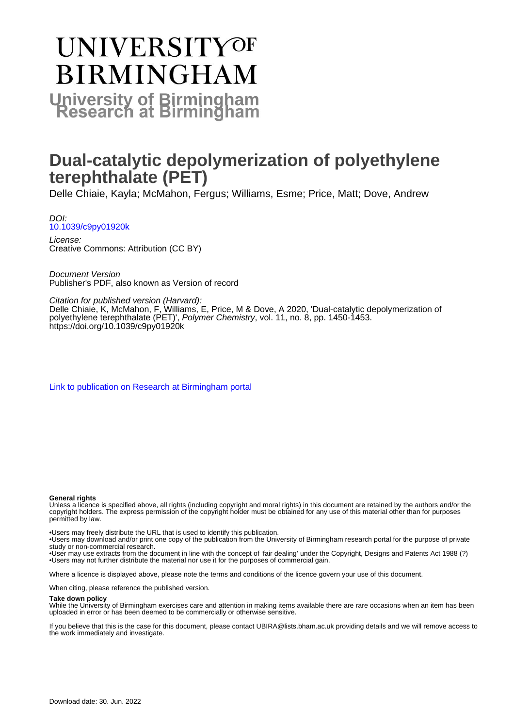# **UNIVERSITYOF BIRMINGHAM University of Birmingham**

# **Dual-catalytic depolymerization of polyethylene terephthalate (PET)**

Delle Chiaie, Kayla; McMahon, Fergus; Williams, Esme; Price, Matt; Dove, Andrew

DOI: [10.1039/c9py01920k](https://doi.org/10.1039/c9py01920k)

License: Creative Commons: Attribution (CC BY)

Document Version Publisher's PDF, also known as Version of record

Citation for published version (Harvard):

Delle Chiaie, K, McMahon, F, Williams, E, Price, M & Dove, A 2020, 'Dual-catalytic depolymerization of polyethylene terephthalate (PET)', Polymer Chemistry, vol. 11, no. 8, pp. 1450-1453. <https://doi.org/10.1039/c9py01920k>

[Link to publication on Research at Birmingham portal](https://birmingham.elsevierpure.com/en/publications/cac48836-1a00-4be6-9349-47bfeae40a15)

#### **General rights**

Unless a licence is specified above, all rights (including copyright and moral rights) in this document are retained by the authors and/or the copyright holders. The express permission of the copyright holder must be obtained for any use of this material other than for purposes permitted by law.

• Users may freely distribute the URL that is used to identify this publication.

• Users may download and/or print one copy of the publication from the University of Birmingham research portal for the purpose of private study or non-commercial research.

• User may use extracts from the document in line with the concept of 'fair dealing' under the Copyright, Designs and Patents Act 1988 (?) • Users may not further distribute the material nor use it for the purposes of commercial gain.

Where a licence is displayed above, please note the terms and conditions of the licence govern your use of this document.

When citing, please reference the published version.

#### **Take down policy**

While the University of Birmingham exercises care and attention in making items available there are rare occasions when an item has been uploaded in error or has been deemed to be commercially or otherwise sensitive.

If you believe that this is the case for this document, please contact UBIRA@lists.bham.ac.uk providing details and we will remove access to the work immediately and investigate.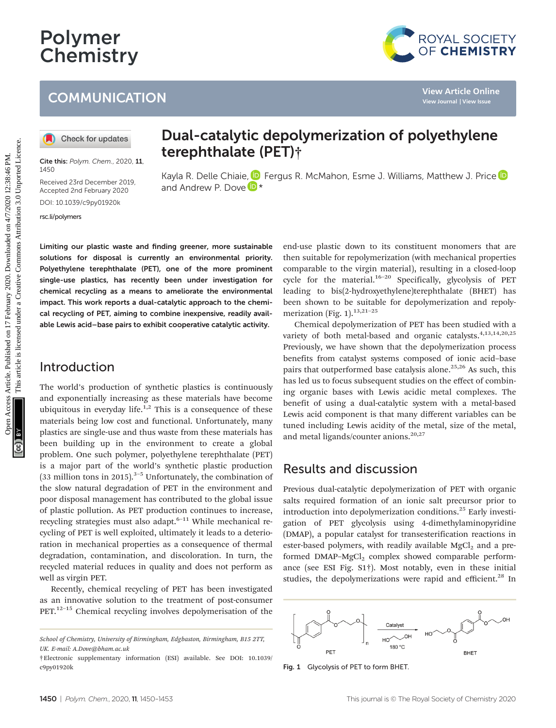# Polymer **Chemistry**

## **COMMUNICATION**



Cite this: Polym. Chem., 2020, 11, 1450

Received 23rd December 2019, Accepted 2nd February 2020 DOI: 10.1039/c9py01920k

[rsc.li/polymers](www.rsc.li/polymers)

Dual-catalytic depolymerization of polyethylene terephthalate (PET)†

Kayla R. Delle Chiaie[,](http://orcid.org/0000-0001-8208-9309) **D** Fergus R. McMahon, Esme J. Williams, Matthew J. Price **D** and Andrew P. Dove  $\mathbb{D}^*$ 

Limiting our plastic waste and finding greener, more sustainable solutions for disposal is currently an environmental priority. Polyethylene terephthalate (PET), one of the more prominent single-use plastics, has recently been under investigation for chemical recycling as a means to ameliorate the environmental impact. This work reports a dual-catalytic approach to the chemical recycling of PET, aiming to combine inexpensive, readily available Lewis acid–base pairs to exhibit cooperative catalytic activity.

#### Introduction

The world's production of synthetic plastics is continuously and exponentially increasing as these materials have become ubiquitous in everyday life.<sup>1,2</sup> This is a consequence of these materials being low cost and functional. Unfortunately, many plastics are single-use and thus waste from these materials has been building up in the environment to create a global problem. One such polymer, polyethylene terephthalate (PET) is a major part of the world's synthetic plastic production (33 million tons in 2015).<sup>3–5</sup> Unfortunately, the combination of the slow natural degradation of PET in the environment and poor disposal management has contributed to the global issue of plastic pollution. As PET production continues to increase, recycling strategies must also adapt. $6-11$  While mechanical recycling of PET is well exploited, ultimately it leads to a deterioration in mechanical properties as a consequence of thermal degradation, contamination, and discoloration. In turn, the recycled material reduces in quality and does not perform as well as virgin PET.

Recently, chemical recycling of PET has been investigated as an innovative solution to the treatment of post-consumer  $PET<sub>12–15</sub>$  Chemical recycling involves depolymerisation of the end-use plastic down to its constituent monomers that are then suitable for repolymerization (with mechanical properties comparable to the virgin material), resulting in a closed-loop cycle for the material.<sup>16-20</sup> Specifically, glycolysis of PET leading to bis(2-hydroxyethylene)terephthalate (BHET) has been shown to be suitable for depolymerization and repolymerization (Fig. 1). $13,21-25$ 

Chemical depolymerization of PET has been studied with a variety of both metal-based and organic catalysts.<sup>4,13,14,20,25</sup> Previously, we have shown that the depolymerization process benefits from catalyst systems composed of ionic acid–base pairs that outperformed base catalysis alone.<sup>25,26</sup> As such, this has led us to focus subsequent studies on the effect of combining organic bases with Lewis acidic metal complexes. The benefit of using a dual-catalytic system with a metal-based Lewis acid component is that many different variables can be tuned including Lewis acidity of the metal, size of the metal, and metal ligands/counter anions.<sup>20,27</sup> COMMUNICATION<br>
<sup>View</sup> Article Chine<br> **(0)** Check for updates<br> **2014 Content Content Content Content Content Content Content Content Content Content Content Content Content Content Content Content Content Content Content** 

#### Results and discussion

Previous dual-catalytic depolymerization of PET with organic salts required formation of an ionic salt precursor prior to introduction into depolymerization conditions.<sup>25</sup> Early investigation of PET glycolysis using 4-dimethylaminopyridine (DMAP), a popular catalyst for transesterification reactions in ester-based polymers, with readily available  $MgCl<sub>2</sub>$  and a preformed  $DMAP-MgCl<sub>2</sub>$  complex showed comparable performance (see ESI Fig. S1†). Most notably, even in these initial studies, the depolymerizations were rapid and efficient.<sup>28</sup> In



Fig. 1 Glycolysis of PET to form BHET.

School of Chemistry, University of Birmingham, Edgbaston, Birmingham, B15 2TT, UK. E-mail: A.Dove@bham.ac.uk

<sup>†</sup>Electronic supplementary information (ESI) available. See DOI: 10.1039/ c9py01920k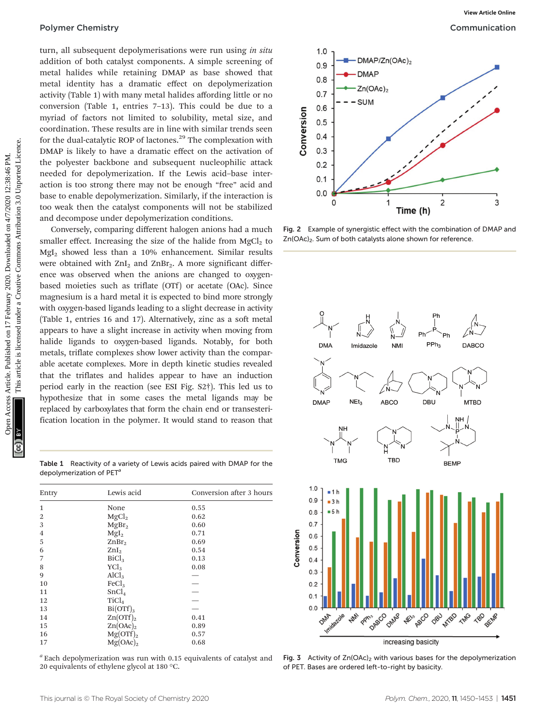turn, all subsequent depolymerisations were run using in situ addition of both catalyst components. A simple screening of metal halides while retaining DMAP as base showed that metal identity has a dramatic effect on depolymerization activity (Table 1) with many metal halides affording little or no conversion (Table 1, entries 7–13). This could be due to a myriad of factors not limited to solubility, metal size, and coordination. These results are in line with similar trends seen for the dual-catalytic ROP of lactones.<sup>29</sup> The complexation with DMAP is likely to have a dramatic effect on the activation of the polyester backbone and subsequent nucleophilic attack needed for depolymerization. If the Lewis acid–base interaction is too strong there may not be enough "free" acid and base to enable depolymerization. Similarly, if the interaction is too weak then the catalyst components will not be stabilized and decompose under depolymerization conditions.

Conversely, comparing different halogen anions had a much smaller effect. Increasing the size of the halide from  $MgCl<sub>2</sub>$  to MgI<sub>2</sub> showed less than a 10% enhancement. Similar results were obtained with  $ZnI_2$  and  $ZnBr_2$ . A more significant difference was observed when the anions are changed to oxygenbased moieties such as triflate (OTf) or acetate (OAc). Since magnesium is a hard metal it is expected to bind more strongly with oxygen-based ligands leading to a slight decrease in activity (Table 1, entries 16 and 17). Alternatively, zinc as a soft metal appears to have a slight increase in activity when moving from halide ligands to oxygen-based ligands. Notably, for both metals, triflate complexes show lower activity than the comparable acetate complexes. More in depth kinetic studies revealed that the triflates and halides appear to have an induction period early in the reaction (see ESI Fig. S2†). This led us to hypothesize that in some cases the metal ligands may be replaced by carboxylates that form the chain end or transesterification location in the polymer. It would stand to reason that Polymer Chemistry<br>
and alia of both calibratic components Article scaling to determine the server into the server into the server into the server into the server into the server into the server into the server into the se

Table 1 Reactivity of a variety of Lewis acids paired with DMAP for the depolymerization of PET<sup>®</sup>

| Entry          | Lewis acid                | Conversion after 3 hours |
|----------------|---------------------------|--------------------------|
| $\mathbf{1}$   | None                      | 0.55                     |
| $\overline{2}$ | MgCl <sub>2</sub>         | 0.62                     |
| 3              | MgBr <sub>2</sub>         | 0.60                     |
| 4              | Mgl <sub>2</sub>          | 0.71                     |
| 5              | ZnBr <sub>2</sub>         | 0.69                     |
| 6              | ZnI <sub>2</sub>          | 0.54                     |
| 7              | BiCl <sub>3</sub>         | 0.13                     |
| 8              | YCl <sub>3</sub>          | 0.08                     |
| 9              | AlCl <sub>3</sub>         |                          |
| 10             | FeCl <sub>3</sub>         |                          |
| 11             | SnCl <sub>4</sub>         |                          |
| 12             | TiCl <sub>4</sub>         |                          |
| 13             | $Bi(OTf)_3$               |                          |
| 14             | Zn(OTf) <sub>2</sub>      | 0.41                     |
| 15             | $\text{Zn}(\text{OAc})_2$ | 0.89                     |
| 16             | Mg(OTf) <sub>2</sub>      | 0.57                     |
| 17             | $Mg(OAc)_2$               | 0.68                     |

 $a$  Each depolymerization was run with 0.15 equivalents of catalyst and 20 equivalents of ethylene glycol at 180 °C.



Fig. 2 Example of synergistic effect with the combination of DMAP and Zn(OAc)<sub>2</sub>. Sum of both catalysts alone shown for reference.



Fig. 3 Activity of  $Zn(OAc)_2$  with various bases for the depolymerization of PET. Bases are ordered left-to-right by basicity.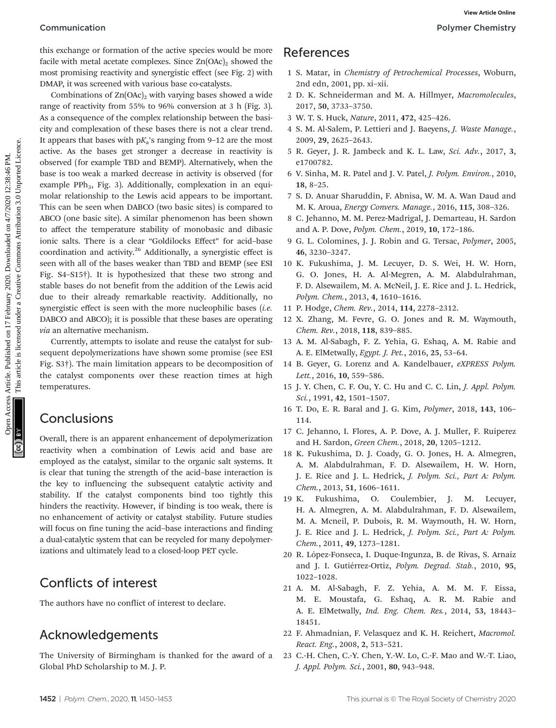this exchange or formation of the active species would be more facile with metal acetate complexes. Since  $Zn(OAc)_2$  showed the most promising reactivity and synergistic effect (see Fig. 2) with DMAP, it was screened with various base co-catalysts.

Combinations of  $Zn(OAc)_{2}$  with varying bases showed a wide range of reactivity from 55% to 96% conversion at 3 h (Fig. 3). As a consequence of the complex relationship between the basicity and complexation of these bases there is not a clear trend. It appears that bases with  $pK_a$ 's ranging from 9-12 are the most active. As the bases get stronger a decrease in reactivity is observed (for example TBD and BEMP). Alternatively, when the base is too weak a marked decrease in activity is observed (for example PPh<sub>3</sub>, Fig. 3). Additionally, complexation in an equimolar relationship to the Lewis acid appears to be important. This can be seen when DABCO (two basic sites) is compared to ABCO (one basic site). A similar phenomenon has been shown to affect the temperature stability of monobasic and dibasic ionic salts. There is a clear "Goldilocks Effect" for acid–base coordination and activity.<sup>26</sup> Additionally, a synergistic effect is seen with all of the bases weaker than TBD and BEMP (see ESI Fig. S4–S15†). It is hypothesized that these two strong and stable bases do not benefit from the addition of the Lewis acid due to their already remarkable reactivity. Additionally, no synergistic effect is seen with the more nucleophilic bases (i.e. DABCO and ABCO); it is possible that these bases are operating via an alternative mechanism. Communication<br>
This exchipted in mail accure complexes Since X articles. Since 2020. In the complexe area of the state in the state of the state in the state of the state on 17 February 3020. Denote the common and the sta

Currently, attempts to isolate and reuse the catalyst for subsequent depolymerizations have shown some promise (see ESI Fig. S3†). The main limitation appears to be decomposition of the catalyst components over these reaction times at high temperatures.

#### Conclusions

Overall, there is an apparent enhancement of depolymerization reactivity when a combination of Lewis acid and base are employed as the catalyst, similar to the organic salt systems. It is clear that tuning the strength of the acid–base interaction is the key to influencing the subsequent catalytic activity and stability. If the catalyst components bind too tightly this hinders the reactivity. However, if binding is too weak, there is no enhancement of activity or catalyst stability. Future studies will focus on fine tuning the acid–base interactions and finding a dual-catalytic system that can be recycled for many depolymerizations and ultimately lead to a closed-loop PET cycle.

## Conflicts of interest

The authors have no conflict of interest to declare.

### Acknowledgements

The University of Birmingham is thanked for the award of a Global PhD Scholarship to M. J. P.

#### References

- 1 S. Matar, in Chemistry of Petrochemical Processes, Woburn, 2nd edn, 2001, pp. xi–xii.
- 2 D. K. Schneiderman and M. A. Hillmyer, Macromolecules, 2017, 50, 3733–3750.
- 3 W. T. S. Huck, Nature, 2011, 472, 425–426.
- 4 S. M. Al-Salem, P. Lettieri and J. Baeyens, J. Waste Manage., 2009, 29, 2625–2643.
- 5 R. Geyer, J. R. Jambeck and K. L. Law, Sci. Adv., 2017, 3, e1700782.
- 6 V. Sinha, M. R. Patel and J. V. Patel, J. Polym. Environ., 2010, 18, 8–25.
- 7 S. D. Anuar Sharuddin, F. Abnisa, W. M. A. Wan Daud and M. K. Aroua, Energy Convers. Manage., 2016, 115, 308–326.
- 8 C. Jehanno, M. M. Perez-Madrigal, J. Demarteau, H. Sardon and A. P. Dove, Polym. Chem., 2019, 10, 172–186.
- 9 G. L. Colomines, J. J. Robin and G. Tersac, Polymer, 2005, 46, 3230–3247.
- 10 K. Fukushima, J. M. Lecuyer, D. S. Wei, H. W. Horn, G. O. Jones, H. A. Al-Megren, A. M. Alabdulrahman, F. D. Alsewailem, M. A. McNeil, J. E. Rice and J. L. Hedrick, Polym. Chem., 2013, 4, 1610–1616.
- 11 P. Hodge, Chem. Rev., 2014, 114, 2278–2312.
- 12 X. Zhang, M. Fevre, G. O. Jones and R. M. Waymouth, Chem. Rev., 2018, 118, 839–885.
- 13 A. M. Al-Sabagh, F. Z. Yehia, G. Eshaq, A. M. Rabie and A. E. ElMetwally, Egypt. J. Pet., 2016, 25, 53–64.
- 14 B. Geyer, G. Lorenz and A. Kandelbauer, eXPRESS Polym. Lett., 2016, 10, 559-586.
- 15 J. Y. Chen, C. F. Ou, Y. C. Hu and C. C. Lin, J. Appl. Polym. Sci., 1991, 42, 1501–1507.
- 16 T. Do, E. R. Baral and J. G. Kim, Polymer, 2018, 143, 106– 114.
- 17 C. Jehanno, I. Flores, A. P. Dove, A. J. Muller, F. Ruiperez and H. Sardon, Green Chem., 2018, 20, 1205–1212.
- 18 K. Fukushima, D. J. Coady, G. O. Jones, H. A. Almegren, A. M. Alabdulrahman, F. D. Alsewailem, H. W. Horn, J. E. Rice and J. L. Hedrick, J. Polym. Sci., Part A: Polym. Chem., 2013, 51, 1606–1611.
- 19 K. Fukushima, O. Coulembier, J. M. Lecuyer, H. A. Almegren, A. M. Alabdulrahman, F. D. Alsewailem, M. A. Mcneil, P. Dubois, R. M. Waymouth, H. W. Horn, J. E. Rice and J. L. Hedrick, J. Polym. Sci., Part A: Polym. Chem., 2011, 49, 1273–1281.
- 20 R. López-Fonseca, I. Duque-Ingunza, B. de Rivas, S. Arnaiz and J. I. Gutiérrez-Ortiz, Polym. Degrad. Stab., 2010, 95, 1022–1028.
- 21 A. M. Al-Sabagh, F. Z. Yehia, A. M. M. F. Eissa, M. E. Moustafa, G. Eshaq, A. R. M. Rabie and A. E. ElMetwally, Ind. Eng. Chem. Res., 2014, 53, 18443– 18451.
- 22 F. Ahmadnian, F. Velasquez and K. H. Reichert, Macromol. React. Eng., 2008, 2, 513–521.
- 23 C.-H. Chen, C.-Y. Chen, Y.-W. Lo, C.-F. Mao and W.-T. Liao, J. Appl. Polym. Sci., 2001, 80, 943–948.